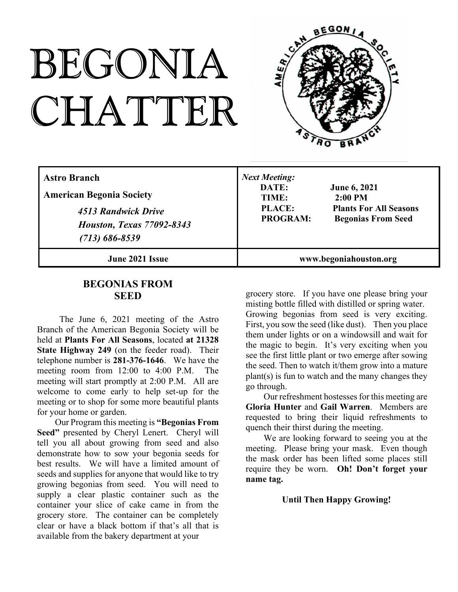# BEGONIA CHATTER



| <b>Astro Branch</b><br><b>American Begonia Society</b><br>4513 Randwick Drive<br><b>Houston, Texas 77092-8343</b><br>$(713) 686 - 8539$ | <b>Next Meeting:</b><br>DATE:<br><b>June 6, 2021</b><br>$2:00$ PM<br>TIME:<br><b>PLACE:</b><br><b>Plants For All Seasons</b><br><b>PROGRAM:</b><br><b>Begonias From Seed</b> |
|-----------------------------------------------------------------------------------------------------------------------------------------|------------------------------------------------------------------------------------------------------------------------------------------------------------------------------|
| June 2021 Issue                                                                                                                         | www.begoniahouston.org                                                                                                                                                       |

# **BEGONIAS FROM SEED**

The June 6, 2021 meeting of the Astro Branch of the American Begonia Society will be held at **Plants For All Seasons**, located **at 21328 State Highway 249** (on the feeder road). Their telephone number is **281-376-1646**. We have the meeting room from 12:00 to 4:00 P.M. The meeting will start promptly at 2:00 P.M. All are welcome to come early to help set-up for the meeting or to shop for some more beautiful plants for your home or garden.

Our Program this meeting is **"Begonias From Seed"** presented by Cheryl Lenert. Cheryl will tell you all about growing from seed and also demonstrate how to sow your begonia seeds for best results. We will have a limited amount of seeds and supplies for anyone that would like to try growing begonias from seed. You will need to supply a clear plastic container such as the container your slice of cake came in from the grocery store. The container can be completely clear or have a black bottom if that's all that is available from the bakery department at your

grocery store. If you have one please bring your misting bottle filled with distilled or spring water. Growing begonias from seed is very exciting. First, you sow the seed (like dust). Then you place them under lights or on a windowsill and wait for the magic to begin. It's very exciting when you see the first little plant or two emerge after sowing the seed. Then to watch it/them grow into a mature plant(s) is fun to watch and the many changes they go through.

Our refreshment hostesses for this meeting are **Gloria Hunter** and **Gail Warren**. Members are requested to bring their liquid refreshments to quench their thirst during the meeting.

We are looking forward to seeing you at the meeting. Please bring your mask. Even though the mask order has been lifted some places still require they be worn. **Oh! Don't forget your name tag.**

### **Until Then Happy Growing!**